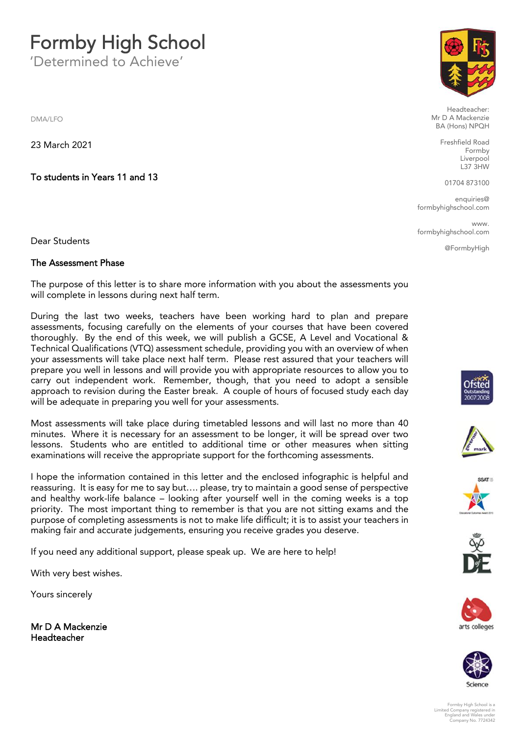## **Formby High School**

'Determined to Achieve'

DMA/LFO

23 March 2021

**To students in Years 11 and 13**

Dear Students

## **The Assessment Phase**

The purpose of this letter is to share more information with you about the assessments you will complete in lessons during next half term.

During the last two weeks, teachers have been working hard to plan and prepare assessments, focusing carefully on the elements of your courses that have been covered thoroughly. By the end of this week, we will publish a GCSE, A Level and Vocational & Technical Qualifications (VTQ) assessment schedule, providing you with an overview of when your assessments will take place next half term. Please rest assured that your teachers will prepare you well in lessons and will provide you with appropriate resources to allow you to carry out independent work. Remember, though, that you need to adopt a sensible approach to revision during the Easter break. A couple of hours of focused study each day will be adequate in preparing you well for your assessments.

Most assessments will take place during timetabled lessons and will last no more than 40 minutes. Where it is necessary for an assessment to be longer, it will be spread over two lessons. Students who are entitled to additional time or other measures when sitting examinations will receive the appropriate support for the forthcoming assessments.

I hope the information contained in this letter and the enclosed infographic is helpful and reassuring. It is easy for me to say but…. please, try to maintain a good sense of perspective and healthy work-life balance – looking after yourself well in the coming weeks is a top priority. The most important thing to remember is that you are not sitting exams and the purpose of completing assessments is not to make life difficult; it is to assist your teachers in making fair and accurate judgements, ensuring you receive grades you deserve.

If you need any additional support, please speak up. We are here to help!

With very best wishes.

Yours sincerely

**Mr D A Mackenzie Headteacher**



Headteacher: Mr D A Mackenzie BA (Hons) NPQH

> Freshfield Road Formby Liverpool L37 3HW

01704 873100

enquiries@ formbyhighschool.com

www. formbyhighschool.com

@FormbyHigh













Formby High School is a Limited Company registered in England and Wales under Company No. 7724342